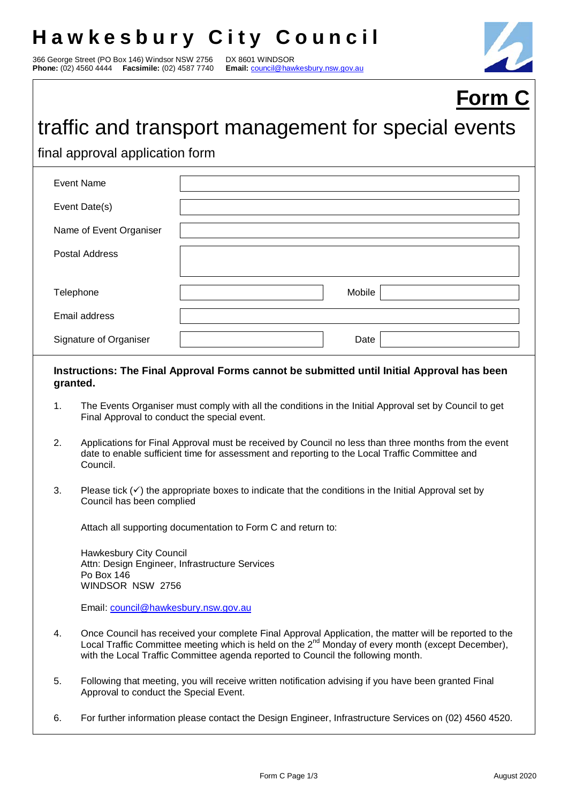## **Hawkesbury City Council**

366 George Street (PO Box 146) Windsor NSW 2756 DX 8601 WINDSOR<br>**Phone:** (02) 4560 4444 **Facsimile:** (02) 4587 7740 Email: council@hawkesbury.nsw.gov.au **Phone:** (02) 4560 4444 **Facsimile:** (02) 4587 7740



# **Form C**

### traffic and transport management for special events

final approval application form

| <b>Event Name</b>       |        |
|-------------------------|--------|
| Event Date(s)           |        |
| Name of Event Organiser |        |
| <b>Postal Address</b>   |        |
|                         |        |
| Telephone               | Mobile |
| Email address           |        |
| Signature of Organiser  | Date   |

#### **Instructions: The Final Approval Forms cannot be submitted until Initial Approval has been granted.**

- 1. The Events Organiser must comply with all the conditions in the Initial Approval set by Council to get Final Approval to conduct the special event.
- 2. Applications for Final Approval must be received by Council no less than three months from the event date to enable sufficient time for assessment and reporting to the Local Traffic Committee and Council.
- 3. Please tick  $(\checkmark)$  the appropriate boxes to indicate that the conditions in the Initial Approval set by Council has been complied

Attach all supporting documentation to Form C and return to:

Hawkesbury City Council Attn: Design Engineer, Infrastructure Services Po Box 146 WINDSOR NSW 2756

Email: council@hawkesbury.nsw.gov.au

- 4. Once Council has received your complete Final Approval Application, the matter will be reported to the Local Traffic Committee meeting which is held on the  $2^{nd}$  Monday of every month (except December), with the Local Traffic Committee agenda reported to Council the following month.
- 5. Following that meeting, you will receive written notification advising if you have been granted Final Approval to conduct the Special Event.
- 6. For further information please contact the Design Engineer, Infrastructure Services on (02) 4560 4520.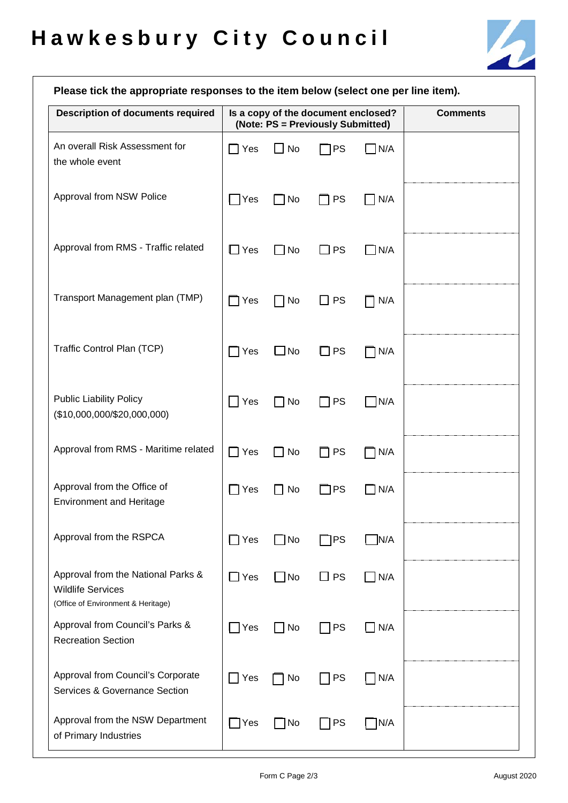

| Please tick the appropriate responses to the item below (select one per line item).                  |                       |                                                                          |                           |             |  |  |
|------------------------------------------------------------------------------------------------------|-----------------------|--------------------------------------------------------------------------|---------------------------|-------------|--|--|
| <b>Description of documents required</b>                                                             |                       | Is a copy of the document enclosed?<br>(Note: PS = Previously Submitted) | <b>Comments</b>           |             |  |  |
| An overall Risk Assessment for<br>the whole event                                                    | $\Box$ Yes            | $\Box$ No                                                                | $\neg$ PS                 | $\n  N/A\n$ |  |  |
| Approval from NSW Police                                                                             | $\bigcap$ Yes         | $\Box$ No                                                                | <b>PS</b><br>$\mathsf{L}$ | $\Box$ N/A  |  |  |
| Approval from RMS - Traffic related                                                                  | $\Box$ Yes            | $\Box$ No                                                                | $\square$ PS              | $\Box$ N/A  |  |  |
| Transport Management plan (TMP)                                                                      | $\Box$ Yes            | $\Box$ No                                                                | <b>PS</b><br>l I          | N/A         |  |  |
| Traffic Control Plan (TCP)                                                                           | $\sqcap$ Yes          | $\square$ No                                                             | $\Box$ PS                 | $\neg$ N/A  |  |  |
| <b>Public Liability Policy</b><br>(\$10,000,000/\$20,000,000)                                        | Yes<br>$\blacksquare$ | $\Box$ No                                                                | <b>PS</b><br>. .          | $\Box$ N/A  |  |  |
| Approval from RMS - Maritime related                                                                 | $\Box$ Yes            | $\Box$ No                                                                | <b>PS</b><br>LΙ           | $\neg$ N/A  |  |  |
| Approval from the Office of<br><b>Environment and Heritage</b>                                       | $\sqcap$ Yes          | $\Box$ No                                                                | ∃PS                       | $\Box$ N/A  |  |  |
| Approval from the RSPCA                                                                              | $\Box$ Yes            | $\Box$ No                                                                | $\neg$ PS                 | N/A         |  |  |
| Approval from the National Parks &<br><b>Wildlife Services</b><br>(Office of Environment & Heritage) | $\Box$ Yes            | $\Box$ No                                                                | $\Box$ PS                 | $\Box$ N/A  |  |  |
| Approval from Council's Parks &<br><b>Recreation Section</b>                                         | $\Box$ Yes            | $\Box$ No                                                                | $\Box$ PS                 | $\Box$ N/A  |  |  |
| Approval from Council's Corporate<br>Services & Governance Section                                   | $\exists$ Yes         | No                                                                       | $\Box$ PS                 | $\n  N/A\n$ |  |  |
| Approval from the NSW Department<br>of Primary Industries                                            | $\Box$ Yes            | □ No                                                                     | $\bigcap$ PS              | TN/A        |  |  |